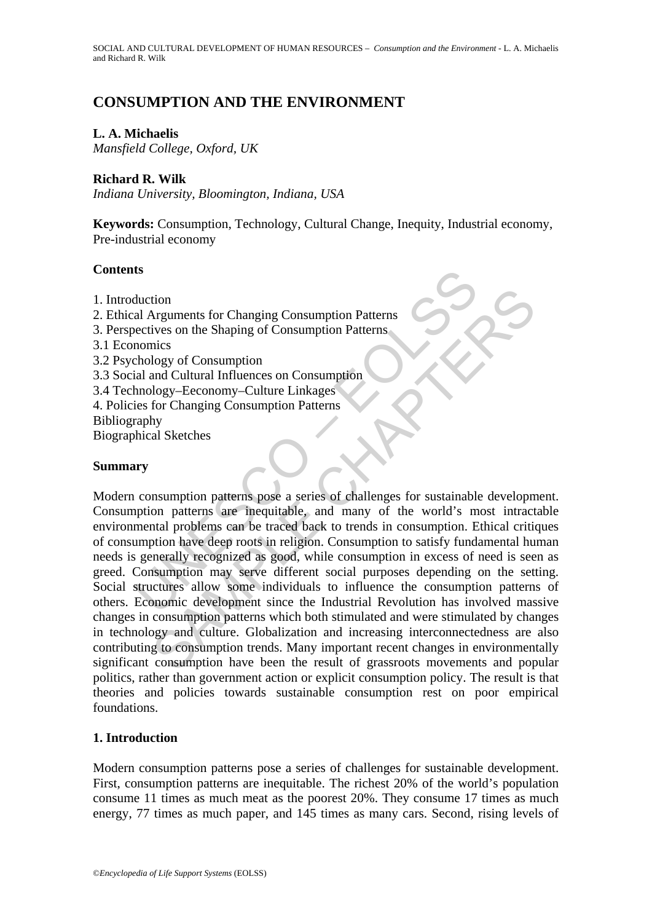# **CONSUMPTION AND THE ENVIRONMENT**

# **L. A. Michaelis**

*Mansfield College, Oxford, UK* 

# **Richard R. Wilk**

*Indiana University, Bloomington, Indiana, USA* 

**Keywords:** Consumption, Technology, Cultural Change, Inequity, Industrial economy, Pre-industrial economy

## **Contents**

- 1. Introduction
- 2. Ethical Arguments for Changing Consumption Patterns
- 3. Perspectives on the Shaping of Consumption Patterns
- 3.1 Economics
- 3.2 Psychology of Consumption
- 3.3 Social and Cultural Influences on Consumption
- 3.4 Technology–Eeconomy–Culture Linkages
- 4. Policies for Changing Consumption Patterns
- Bibliography

Biographical Sketches

### **Summary**

**Solution**<br>
al Arguments for Changing Consumption Patterns<br>
nectives on the Shaping of Consumption Patterns<br>
nomics<br>
hology of Consumption<br>
hology Consumption<br>
hology-Eeconomy-Culture Linkages<br>
ies for Changing Consumption tion<br>
of Arguments for Changing Consumption Patterns<br>
vives on the Shaping of Consumption Patterns<br>
logy of Consumption<br>
logy of Consumption<br>
ology-Eeconomy-Culture Linkages<br>
ology-Eeconomy-Culture Linkages<br>
hy<br>
al Sketche Modern consumption patterns pose a series of challenges for sustainable development. Consumption patterns are inequitable, and many of the world's most intractable environmental problems can be traced back to trends in consumption. Ethical critiques of consumption have deep roots in religion. Consumption to satisfy fundamental human needs is generally recognized as good, while consumption in excess of need is seen as greed. Consumption may serve different social purposes depending on the setting. Social structures allow some individuals to influence the consumption patterns of others. Economic development since the Industrial Revolution has involved massive changes in consumption patterns which both stimulated and were stimulated by changes in technology and culture. Globalization and increasing interconnectedness are also contributing to consumption trends. Many important recent changes in environmentally significant consumption have been the result of grassroots movements and popular politics, rather than government action or explicit consumption policy. The result is that theories and policies towards sustainable consumption rest on poor empirical foundations.

# **1. Introduction**

Modern consumption patterns pose a series of challenges for sustainable development. First, consumption patterns are inequitable. The richest 20% of the world's population consume 11 times as much meat as the poorest 20%. They consume 17 times as much energy, 77 times as much paper, and 145 times as many cars. Second, rising levels of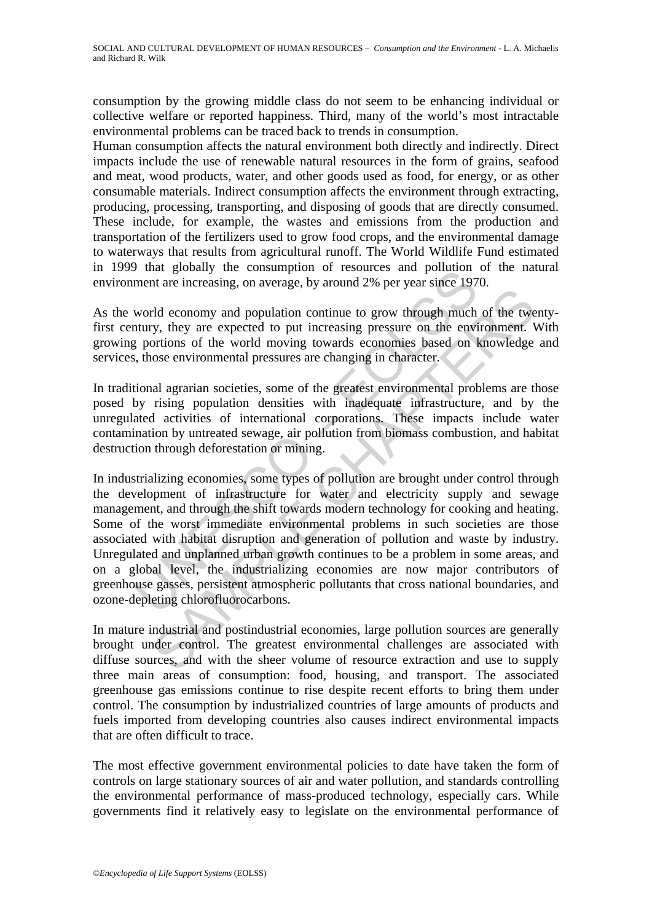consumption by the growing middle class do not seem to be enhancing individual or collective welfare or reported happiness. Third, many of the world's most intractable environmental problems can be traced back to trends in consumption.

Human consumption affects the natural environment both directly and indirectly. Direct impacts include the use of renewable natural resources in the form of grains, seafood and meat, wood products, water, and other goods used as food, for energy, or as other consumable materials. Indirect consumption affects the environment through extracting, producing, processing, transporting, and disposing of goods that are directly consumed. These include, for example, the wastes and emissions from the production and transportation of the fertilizers used to grow food crops, and the environmental damage to waterways that results from agricultural runoff. The World Wildlife Fund estimated in 1999 that globally the consumption of resources and pollution of the natural environment are increasing, on average, by around 2% per year since 1970.

As the world economy and population continue to grow through much of the twentyfirst century, they are expected to put increasing pressure on the environment. With growing portions of the world moving towards economies based on knowledge and services, those environmental pressures are changing in character.

In traditional agrarian societies, some of the greatest environmental problems are those posed by rising population densities with inadequate infrastructure, and by the unregulated activities of international corporations. These impacts include water contamination by untreated sewage, air pollution from biomass combustion, and habitat destruction through deforestation or mining.

UNESCO – EOLSS The mean of production continue to grow through much of the two-<br>the conomy and population continue to grow through much of the twi-<br>y, they are expected to put increasing pressure on the environment. V<br>or, they are expect In industrializing economies, some types of pollution are brought under control through the development of infrastructure for water and electricity supply and sewage management, and through the shift towards modern technology for cooking and heating. Some of the worst immediate environmental problems in such societies are those associated with habitat disruption and generation of pollution and waste by industry. Unregulated and unplanned urban growth continues to be a problem in some areas, and on a global level, the industrializing economies are now major contributors of greenhouse gasses, persistent atmospheric pollutants that cross national boundaries, and ozone-depleting chlorofluorocarbons.

In mature industrial and postindustrial economies, large pollution sources are generally brought under control. The greatest environmental challenges are associated with diffuse sources, and with the sheer volume of resource extraction and use to supply three main areas of consumption: food, housing, and transport. The associated greenhouse gas emissions continue to rise despite recent efforts to bring them under control. The consumption by industrialized countries of large amounts of products and fuels imported from developing countries also causes indirect environmental impacts that are often difficult to trace.

The most effective government environmental policies to date have taken the form of controls on large stationary sources of air and water pollution, and standards controlling the environmental performance of mass-produced technology, especially cars. While governments find it relatively easy to legislate on the environmental performance of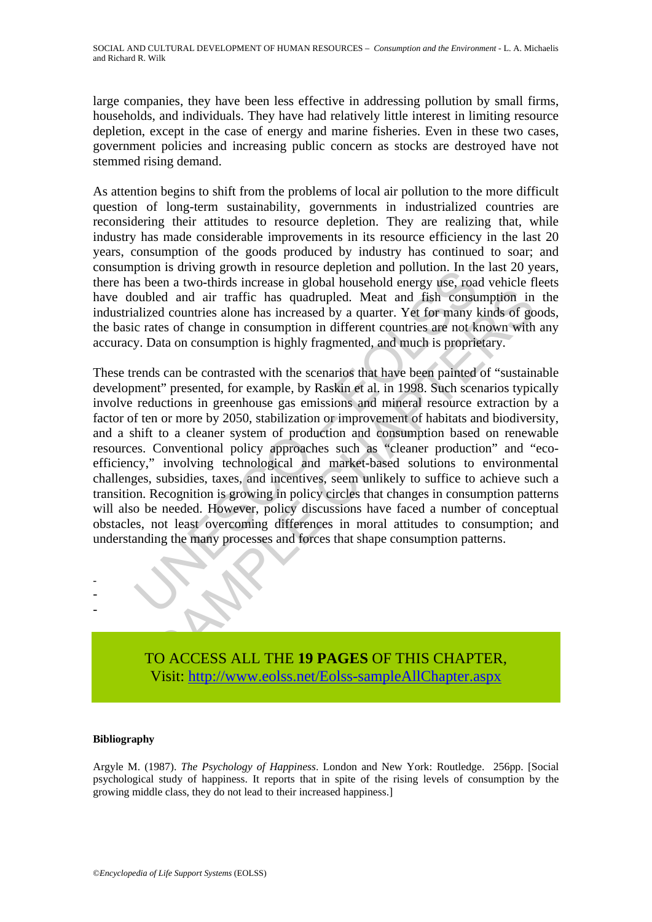large companies, they have been less effective in addressing pollution by small firms, households, and individuals. They have had relatively little interest in limiting resource depletion, except in the case of energy and marine fisheries. Even in these two cases, government policies and increasing public concern as stocks are destroyed have not stemmed rising demand.

As attention begins to shift from the problems of local air pollution to the more difficult question of long-term sustainability, governments in industrialized countries are reconsidering their attitudes to resource depletion. They are realizing that, while industry has made considerable improvements in its resource efficiency in the last 20 years, consumption of the goods produced by industry has continued to soar; and consumption is driving growth in resource depletion and pollution. In the last 20 years, there has been a two-thirds increase in global household energy use, road vehicle fleets have doubled and air traffic has quadrupled. Meat and fish consumption in the industrialized countries alone has increased by a quarter. Yet for many kinds of goods, the basic rates of change in consumption in different countries are not known with any accuracy. Data on consumption is highly fragmented, and much is proprietary.

plum is univergly exam in resolute dependinal and pointuon. In this shoen a two-thirds increase in global household energy use, roas oubled and air traffic has quadrupled. Meat and fish consulaized countries alone has incr between the main traffic has qualityted. Meant and fish consumption in the deal and air traffic has quadrupled. Meat and fish consumption in the deal countries alone has increased by a quarter. Yet for many kinds of gottes These trends can be contrasted with the scenarios that have been painted of "sustainable development" presented, for example, by Raskin et al. in 1998. Such scenarios typically involve reductions in greenhouse gas emissions and mineral resource extraction by a factor of ten or more by 2050, stabilization or improvement of habitats and biodiversity, and a shift to a cleaner system of production and consumption based on renewable resources. Conventional policy approaches such as "cleaner production" and "ecoefficiency," involving technological and market-based solutions to environmental challenges, subsidies, taxes, and incentives, seem unlikely to suffice to achieve such a transition. Recognition is growing in policy circles that changes in consumption patterns will also be needed. However, policy discussions have faced a number of conceptual obstacles, not least overcoming differences in moral attitudes to consumption; and understanding the many processes and forces that shape consumption patterns.

- - -

> TO ACCESS ALL THE **19 PAGES** OF THIS CHAPTER, Visit[: http://www.eolss.net/Eolss-sampleAllChapter.aspx](https://www.eolss.net/ebooklib/sc_cart.aspx?File=E1-11-07-06)

#### **Bibliography**

Argyle M. (1987). *The Psychology of Happiness*. London and New York: Routledge. 256pp. [Social psychological study of happiness. It reports that in spite of the rising levels of consumption by the growing middle class, they do not lead to their increased happiness.]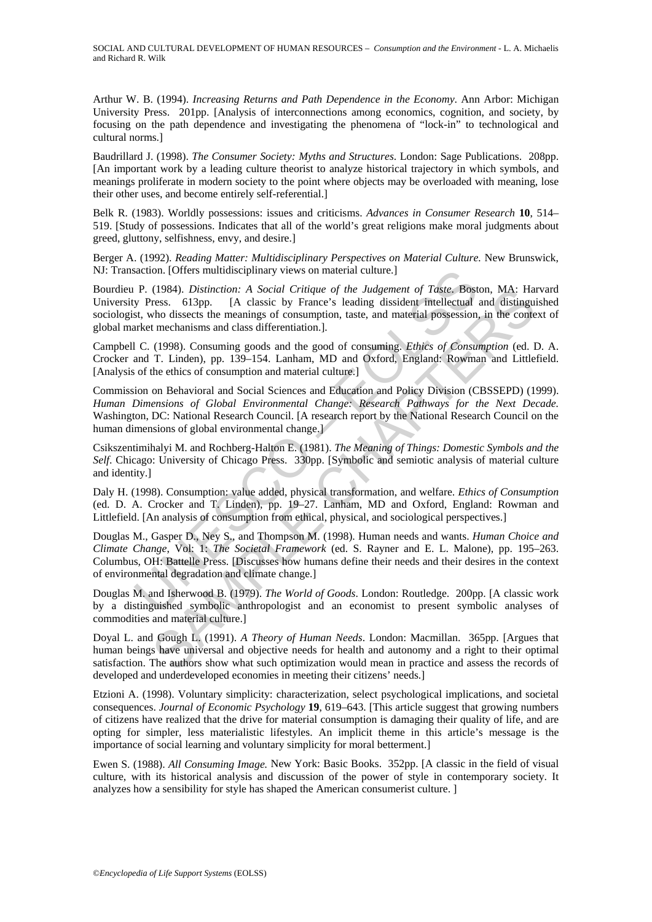Arthur W. B. (1994). *Increasing Returns and Path Dependence in the Economy*. Ann Arbor: Michigan University Press. 201pp. [Analysis of interconnections among economics, cognition, and society, by focusing on the path dependence and investigating the phenomena of "lock-in" to technological and cultural norms.]

Baudrillard J. (1998). *The Consumer Society: Myths and Structures*. London: Sage Publications. 208pp. [An important work by a leading culture theorist to analyze historical trajectory in which symbols, and meanings proliferate in modern society to the point where objects may be overloaded with meaning, lose their other uses, and become entirely self-referential.]

Belk R. (1983). Worldly possessions: issues and criticisms. *Advances in Consumer Research* **10**, 514– 519. [Study of possessions. Indicates that all of the world's great religions make moral judgments about greed, gluttony, selfishness, envy, and desire.]

Berger A. (1992). *Reading Matter: Multidisciplinary Perspectives on Material Culture.* New Brunswick, NJ: Transaction. [Offers multidisciplinary views on material culture.]

action. [Offers multidisciplinary views on material culture.]<br>
P. (1984). *Distinction: A Social Critique of the Judgement of Taste*. Bost<br>
P. (1984). *Islansic by Presac.* belowes belowing to side the meaning of consumpti Bourdieu P. (1984). *Distinction: A Social Critique of the Judgement of Taste*. Boston, MA: Harvard University Press. 613pp. [A classic by France's leading dissident intellectual and distinguished sociologist, who dissects the meanings of consumption, taste, and material possession, in the context of global market mechanisms and class differentiation.].

Campbell C. (1998). Consuming goods and the good of consuming. *Ethics of Consumption* (ed. D. A. Crocker and T. Linden), pp. 139–154. Lanham, MD and Oxford, England: Rowman and Littlefield. [Analysis of the ethics of consumption and material culture.]

(1984). Distinction: A Social Critique of the Judgement of Tasiec Boston, MA: Hand distinguate the meanings of consumption, taste, and material melectual and distinguive these. 613pp. IA classic by France's leading dissid Commission on Behavioral and Social Sciences and Education and Policy Division (CBSSEPD) (1999). *Human Dimensions of Global Environmental Change: Research Pathways for the Next Decade.* Washington, DC: National Research Council. [A research report by the National Research Council on the human dimensions of global environmental change.

Csikszentimihalyi M. and Rochberg-Halton E. (1981). *The Meaning of Things: Domestic Symbols and the Self*. Chicago: University of Chicago Press. 330pp. [Symbolic and semiotic analysis of material culture and identity.]

Daly H. (1998). Consumption: value added, physical transformation, and welfare. *Ethics of Consumption* (ed. D. A. Crocker and T. Linden), pp. 19–27. Lanham, MD and Oxford, England: Rowman and Littlefield. [An analysis of consumption from ethical, physical, and sociological perspectives.]

Douglas M., Gasper D., Ney S., and Thompson M. (1998). Human needs and wants. *Human Choice and Climate Change*, Vol: 1: *The Societal Framework* (ed. S. Rayner and E. L. Malone), pp. 195–263. Columbus, OH: Battelle Press. [Discusses how humans define their needs and their desires in the context of environmental degradation and climate change.]

Douglas M. and Isherwood B. (1979). *The World of Goods*. London: Routledge. 200pp. [A classic work by a distinguished symbolic anthropologist and an economist to present symbolic analyses of commodities and material culture.]

Doyal L. and Gough L. (1991). *A Theory of Human Needs*. London: Macmillan. 365pp. [Argues that human beings have universal and objective needs for health and autonomy and a right to their optimal satisfaction. The authors show what such optimization would mean in practice and assess the records of developed and underdeveloped economies in meeting their citizens' needs.]

Etzioni A. (1998). Voluntary simplicity: characterization, select psychological implications, and societal consequences. *Journal of Economic Psychology* **19**, 619–643. [This article suggest that growing numbers of citizens have realized that the drive for material consumption is damaging their quality of life, and are opting for simpler, less materialistic lifestyles. An implicit theme in this article's message is the importance of social learning and voluntary simplicity for moral betterment.]

Ewen S. (1988). *All Consuming Image.* New York: Basic Books. 352pp. [A classic in the field of visual culture, with its historical analysis and discussion of the power of style in contemporary society. It analyzes how a sensibility for style has shaped the American consumerist culture. ]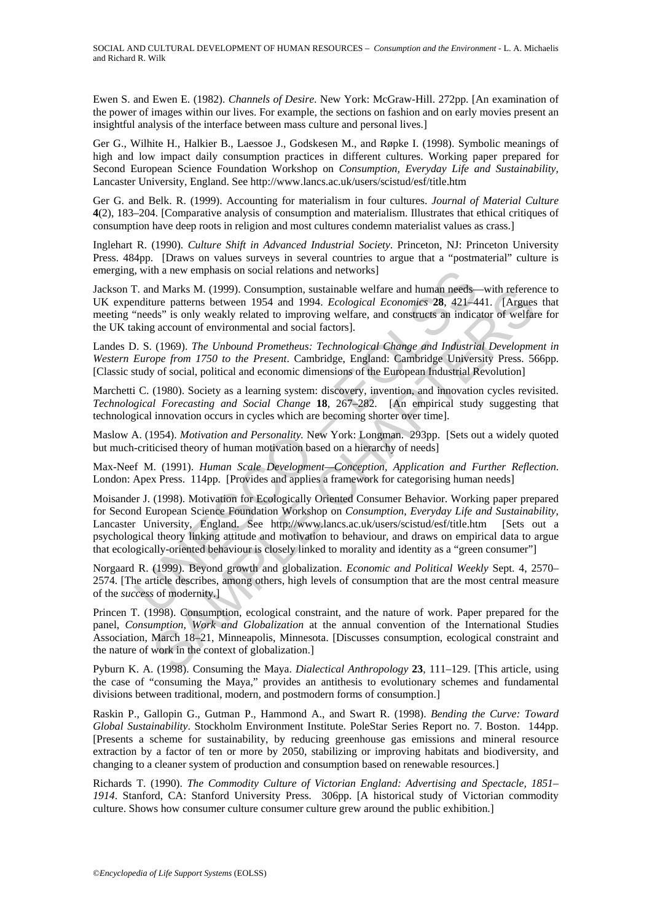Ewen S. and Ewen E. (1982). *Channels of Desire*. New York: McGraw-Hill. 272pp. [An examination of the power of images within our lives. For example, the sections on fashion and on early movies present an insightful analysis of the interface between mass culture and personal lives.]

Ger G., Wilhite H., Halkier B., Laessoe J., Godskesen M., and Røpke I. (1998). Symbolic meanings of high and low impact daily consumption practices in different cultures. Working paper prepared for Second European Science Foundation Workshop on *Consumption, Everyday Life and Sustainability*, Lancaster University, England. See http://www.lancs.ac.uk/users/scistud/esf/title.htm

Ger G. and Belk. R. (1999). Accounting for materialism in four cultures. *Journal of Material Culture* **4**(2), 183–204. [Comparative analysis of consumption and materialism. Illustrates that ethical critiques of consumption have deep roots in religion and most cultures condemn materialist values as crass.]

Inglehart R. (1990). *Culture Shift in Advanced Industrial Society*. Princeton, NJ: Princeton University Press. 484pp. [Draws on values surveys in several countries to argue that a "postmaterial" culture is emerging, with a new emphasis on social relations and networks]

Jackson T. and Marks M. (1999). Consumption, sustainable welfare and human needs—with reference to UK expenditure patterns between 1954 and 1994. *Ecological Economics* **28**, 421–441. [Argues that meeting "needs" is only weakly related to improving welfare, and constructs an indicator of welfare for the UK taking account of environmental and social factors].

Landes D. S. (1969). *The Unbound Prometheus: Technological Change and Industrial Development in Western Europe from 1750 to the Present*. Cambridge, England: Cambridge University Press. 566pp. [Classic study of social, political and economic dimensions of the European Industrial Revolution]

Marchetti C. (1980). Society as a learning system: discovery, invention, and innovation cycles revisited. *Technological Forecasting and Social Change* **18**, 267–282. [An empirical study suggesting that technological innovation occurs in cycles which are becoming shorter over time].

Maslow A. (1954). *Motivation and Personality.* New York: Longman. 293pp. [Sets out a widely quoted but much-criticised theory of human motivation based on a hierarchy of needs]

Max-Neef M. (1991). *Human Scale Development—Conception, Application and Further Reflection*. London: Apex Press. 114pp. [Provides and applies a framework for categorising human needs]

i, with a new emphasis on social relations and networks]<br>
C. and Marks M. (1999). Consumption, sustainable welfare and human needs-<br>
neduction patterns between 1954 and 1994. Ecological Economics 28, 421-4<br>
needs" is only M Marks M. (1999). Consumption, usualiable welfare and human needs—with referent and<br>
megnetics M, (1999). Consumption, usualiable welfare and human needs—with reference<br>
rure patterns between 1954 and 1994. *Ecological E* Moisander J. (1998). Motivation for Ecologically Oriented Consumer Behavior. Working paper prepared for Second European Science Foundation Workshop on *Consumption, Everyday Life and Sustainability*, Lancaster University, England. See http://www.lancs.ac.uk/users/scistud/esf/title.htm [Sets out a psychological theory linking attitude and motivation to behaviour, and draws on empirical data to argue that ecologically-oriented behaviour is closely linked to morality and identity as a "green consumer"]

Norgaard R. (1999). Beyond growth and globalization. *Economic and Political Weekly* Sept. 4, 2570– 2574. [The article describes, among others, high levels of consumption that are the most central measure of the *success* of modernity.]

Princen T. (1998). Consumption, ecological constraint, and the nature of work. Paper prepared for the panel, *Consumption, Work and Globalization* at the annual convention of the International Studies Association, March 18–21, Minneapolis, Minnesota. [Discusses consumption, ecological constraint and the nature of work in the context of globalization.]

Pyburn K. A. (1998). Consuming the Maya. *Dialectical Anthropology* **23**, 111–129. [This article, using the case of "consuming the Maya," provides an antithesis to evolutionary schemes and fundamental divisions between traditional, modern, and postmodern forms of consumption.]

Raskin P., Gallopin G., Gutman P., Hammond A., and Swart R. (1998). *Bending the Curve: Toward Global Sustainability*. Stockholm Environment Institute. PoleStar Series Report no. 7. Boston. 144pp. [Presents a scheme for sustainability, by reducing greenhouse gas emissions and mineral resource extraction by a factor of ten or more by 2050, stabilizing or improving habitats and biodiversity, and changing to a cleaner system of production and consumption based on renewable resources.]

Richards T. (1990). *The Commodity Culture of Victorian England: Advertising and Spectacle, 1851– 1914*. Stanford, CA: Stanford University Press. 306pp. [A historical study of Victorian commodity culture. Shows how consumer culture consumer culture grew around the public exhibition.]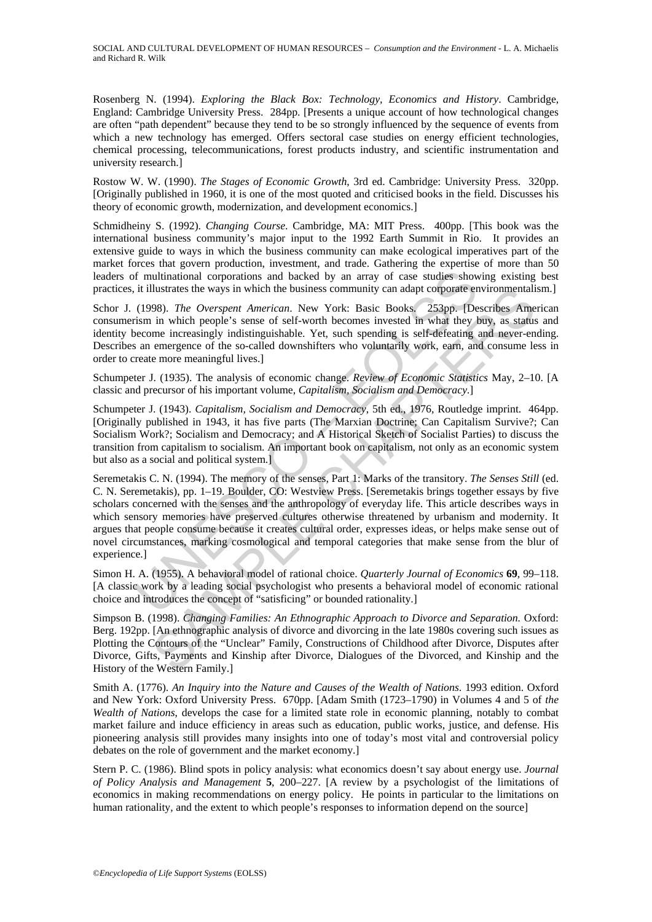SOCIAL AND CULTURAL DEVELOPMENT OF HUMAN RESOURCES – *Consumption and the Environment* - L. A. Michaelis and Richard R. Wilk

Rosenberg N. (1994). *Exploring the Black Box: Technology, Economics and History*. Cambridge, England: Cambridge University Press. 284pp. [Presents a unique account of how technological changes are often "path dependent" because they tend to be so strongly influenced by the sequence of events from which a new technology has emerged. Offers sectoral case studies on energy efficient technologies, chemical processing, telecommunications, forest products industry, and scientific instrumentation and university research.]

Rostow W. W. (1990). *The Stages of Economic Growth*, 3rd ed. Cambridge: University Press. 320pp. [Originally published in 1960, it is one of the most quoted and criticised books in the field. Discusses his theory of economic growth, modernization, and development economics.]

Schmidheiny S. (1992). *Changing Course*. Cambridge, MA: MIT Press. 400pp. [This book was the international business community's major input to the 1992 Earth Summit in Rio. It provides an extensive guide to ways in which the business community can make ecological imperatives part of the market forces that govern production, investment, and trade. Gathering the expertise of more than 50 leaders of multinational corporations and backed by an array of case studies showing existing best practices, it illustrates the ways in which the business community can adapt corporate environmentalism.]

Schor J. (1998). *The Overspent American*. New York: Basic Books. 253pp. [Describes American consumerism in which people's sense of self-worth becomes invested in what they buy, as status and identity become increasingly indistinguishable. Yet, such spending is self-defeating and never-ending. Describes an emergence of the so-called downshifters who voluntarily work, earn, and consume less in order to create more meaningful lives.]

Schumpeter J. (1935). The analysis of economic change. *Review of Economic Statistics* May, 2–10. [A classic and precursor of his important volume, *Capitalism, Socialism and Democracy*.]

Schumpeter J. (1943). *Capitalism, Socialism and Democracy*, 5th ed., 1976, Routledge imprint. 464pp. [Originally published in 1943, it has five parts (The Marxian Doctrine; Can Capitalism Survive?; Can Socialism Work?; Socialism and Democracy; and A Historical Sketch of Socialist Parties) to discuss the transition from capitalism to socialism. An important book on capitalism, not only as an economic system but also as a social and political system.]

f multinational corporations and backed by an array of case studies show<br>it illustrates the ways in which the business community can adapt corporate er<br>(1998). *The Overspent American*. New York: Basic Books, 253pp. [De<br>i llustrates the ways in which the business community can adapt corporate environmentali<br>
in which people's sense of self-worth becomes invested in what they buy, as statis<br>
in which people's sense of self-worth becomes inve Seremetakis C. N. (1994). The memory of the senses, Part 1: Marks of the transitory. *The Senses Still* (ed. C. N. Seremetakis), pp. 1–19. Boulder, CO: Westview Press. [Seremetakis brings together essays by five scholars concerned with the senses and the anthropology of everyday life. This article describes ways in which sensory memories have preserved cultures otherwise threatened by urbanism and modernity. It argues that people consume because it creates cultural order, expresses ideas, or helps make sense out of novel circumstances, marking cosmological and temporal categories that make sense from the blur of experience.]

Simon H. A. (1955). A behavioral model of rational choice. *Quarterly Journal of Economics* **69**, 99–118. [A classic work by a leading social psychologist who presents a behavioral model of economic rational choice and introduces the concept of "satisficing" or bounded rationality.]

Simpson B. (1998). *Changing Families: An Ethnographic Approach to Divorce and Separation.* Oxford: Berg. 192pp. [An ethnographic analysis of divorce and divorcing in the late 1980s covering such issues as Plotting the Contours of the "Unclear" Family, Constructions of Childhood after Divorce, Disputes after Divorce, Gifts, Payments and Kinship after Divorce, Dialogues of the Divorced, and Kinship and the History of the Western Family.]

Smith A. (1776). *An Inquiry into the Nature and Causes of the Wealth of Nations*. 1993 edition. Oxford and New York: Oxford University Press. 670pp. [Adam Smith (1723–1790) in Volumes 4 and 5 of *the Wealth of Nations*, develops the case for a limited state role in economic planning, notably to combat market failure and induce efficiency in areas such as education, public works, justice, and defense. His pioneering analysis still provides many insights into one of today's most vital and controversial policy debates on the role of government and the market economy.]

Stern P. C. (1986). Blind spots in policy analysis: what economics doesn't say about energy use. *Journal of Policy Analysis and Management* **5**, 200–227. [A review by a psychologist of the limitations of economics in making recommendations on energy policy. He points in particular to the limitations on human rationality, and the extent to which people's responses to information depend on the source]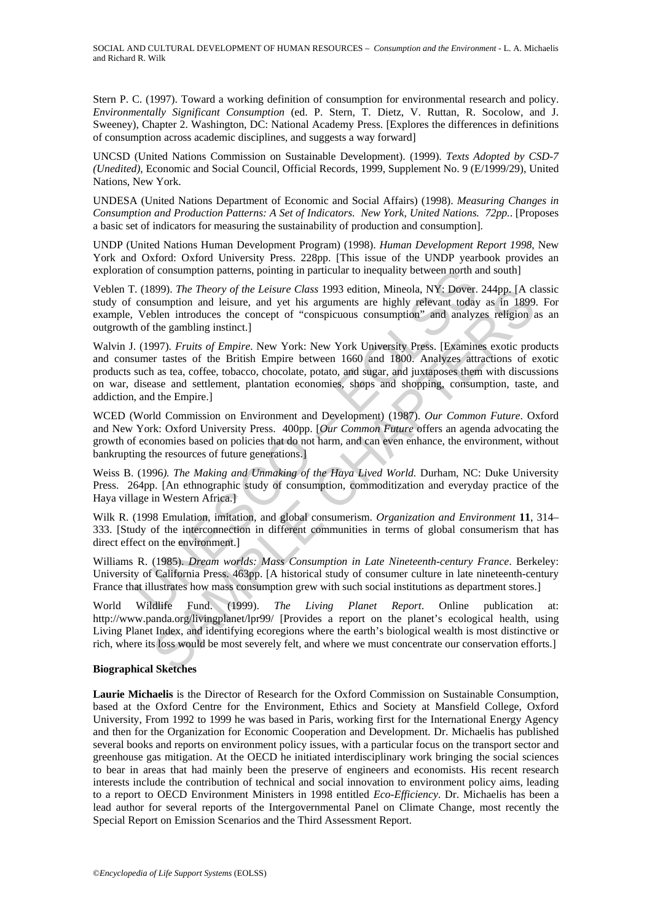SOCIAL AND CULTURAL DEVELOPMENT OF HUMAN RESOURCES – *Consumption and the Environment* - L. A. Michaelis and Richard R. Wilk

Stern P. C. (1997). Toward a working definition of consumption for environmental research and policy. *Environmentally Significant Consumption* (ed. P. Stern, T. Dietz, V. Ruttan, R. Socolow, and J. Sweeney), Chapter 2. Washington, DC: National Academy Press. [Explores the differences in definitions of consumption across academic disciplines, and suggests a way forward]

UNCSD (United Nations Commission on Sustainable Development). (1999). *Texts Adopted by CSD-7 (Unedited)*, Economic and Social Council, Official Records, 1999, Supplement No. 9 (E/1999/29), United Nations, New York.

UNDESA (United Nations Department of Economic and Social Affairs) (1998). *Measuring Changes in Consumption and Production Patterns: A Set of Indicators. New York, United Nations. 72pp.*. [Proposes a basic set of indicators for measuring the sustainability of production and consumption].

UNDP (United Nations Human Development Program) (1998). *Human Development Report 1998*, New York and Oxford: Oxford University Press. 228pp. [This issue of the UNDP yearbook provides an exploration of consumption patterns, pointing in particular to inequality between north and south]

Veblen T. (1899). *The Theory of the Leisure Class* 1993 edition, Mineola, NY: Dover. 244pp. [A classic study of consumption and leisure, and yet his arguments are highly relevant today as in 1899. For example, Veblen introduces the concept of "conspicuous consumption" and analyzes religion as an outgrowth of the gambling instinct.]

on of consumption patterns, pointing in particular to inequality between north a<br>
(1899). *The Theory of the Leisure Claas* 1993 edition, Mineola, NY: Dover.<br>
consumption and leisure, and yet his arguments are highly rele S99). The Theory of the Leisure Class 1993 edition, Minined, NY: Dover. 244pp. The Theory of the Leisure and teisure and the introduces the concept of "conspictious consumption" and analyzes religion at the gambling instin Walvin J. (1997). *Fruits of Empire*. New York: New York University Press. [Examines exotic products and consumer tastes of the British Empire between 1660 and 1800. Analyzes attractions of exotic products such as tea, coffee, tobacco, chocolate, potato, and sugar, and juxtaposes them with discussions on war, disease and settlement, plantation economies, shops and shopping, consumption, taste, and addiction, and the Empire.]

WCED (World Commission on Environment and Development) (1987). *Our Common Future*. Oxford and New York: Oxford University Press. 400pp. [*Our Common Future* offers an agenda advocating the growth of economies based on policies that do not harm, and can even enhance, the environment, without bankrupting the resources of future generations.]

Weiss B. (1996*). The Making and Unmaking of the Haya Lived World.* Durham, NC: Duke University Press. 264pp. [An ethnographic study of consumption, commoditization and everyday practice of the Haya village in Western Africa.]

Wilk R. (1998 Emulation, imitation, and global consumerism. *Organization and Environment* **11**, 314– 333. [Study of the interconnection in different communities in terms of global consumerism that has direct effect on the environment.]

Williams R. (1985). *Dream worlds: Mass Consumption in Late Nineteenth-century France*. Berkeley: University of California Press. 463pp. [A historical study of consumer culture in late nineteenth-century France that illustrates how mass consumption grew with such social institutions as department stores.]

World Wildlife Fund. (1999). *The Living Planet Report*. Online publication http://www.panda.org/livingplanet/lpr99/ [Provides a report on the planet's ecological health, using Living Planet Index, and identifying ecoregions where the earth's biological wealth is most distinctive or rich, where its loss would be most severely felt, and where we must concentrate our conservation efforts.]

#### **Biographical Sketches**

**Laurie Michaelis** is the Director of Research for the Oxford Commission on Sustainable Consumption, based at the Oxford Centre for the Environment, Ethics and Society at Mansfield College, Oxford University, From 1992 to 1999 he was based in Paris, working first for the International Energy Agency and then for the Organization for Economic Cooperation and Development. Dr. Michaelis has published several books and reports on environment policy issues, with a particular focus on the transport sector and greenhouse gas mitigation. At the OECD he initiated interdisciplinary work bringing the social sciences to bear in areas that had mainly been the preserve of engineers and economists. His recent research interests include the contribution of technical and social innovation to environment policy aims, leading to a report to OECD Environment Ministers in 1998 entitled *Eco-Efficiency*. Dr. Michaelis has been a lead author for several reports of the Intergovernmental Panel on Climate Change, most recently the Special Report on Emission Scenarios and the Third Assessment Report.